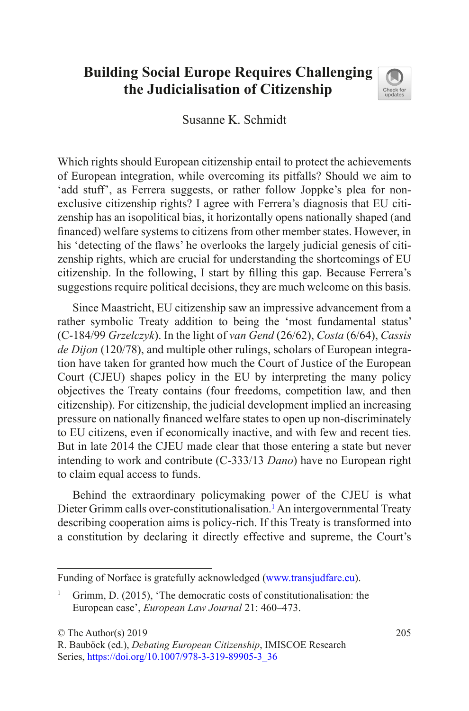## **Building Social Europe Requires Challenging the Judicialisation of Citizenship**



Susanne K. Schmidt

Which rights should European citizenship entail to protect the achievements of European integration, while overcoming its pitfalls? Should we aim to 'add stuff', as Ferrera suggests, or rather follow Joppke's plea for nonexclusive citizenship rights? I agree with Ferrera's diagnosis that EU citizenship has an isopolitical bias, it horizontally opens nationally shaped (and financed) welfare systems to citizens from other member states. However, in his 'detecting of the flaws' he overlooks the largely judicial genesis of citizenship rights, which are crucial for understanding the shortcomings of EU citizenship. In the following, I start by filling this gap. Because Ferrera's suggestions require political decisions, they are much welcome on this basis.

Since Maastricht, EU citizenship saw an impressive advancement from a rather symbolic Treaty addition to being the 'most fundamental status' (C-184/99 *Grzelczyk*). In the light of *van Gend* (26/62), *Costa* (6/64), *Cassis de Dijon* (120/78), and multiple other rulings, scholars of European integration have taken for granted how much the Court of Justice of the European Court (CJEU) shapes policy in the EU by interpreting the many policy objectives the Treaty contains (four freedoms, competition law, and then citizenship). For citizenship, the judicial development implied an increasing pressure on nationally financed welfare states to open up non-discriminately to EU citizens, even if economically inactive, and with few and recent ties. But in late 2014 the CJEU made clear that those entering a state but never intending to work and contribute (C-333/13 *Dano*) have no European right to claim equal access to funds.

Behind the extraordinary policymaking power of the CJEU is what Dieter Grimm calls over-constitutionalisation.<sup>[1](#page-0-0)</sup> An intergovernmental Treaty describing cooperation aims is policy-rich. If this Treaty is transformed into a constitution by declaring it directly effective and supreme, the Court's

Funding of Norface is gratefully acknowledged ([www.transjudfare.eu](http://www.transjudfare.eu)).

<span id="page-0-0"></span><sup>&</sup>lt;sup>1</sup> Grimm, D. (2015), 'The democratic costs of constitutionalisation: the European case', *European Law Journal* 21: 460–473.

R. Bauböck (ed.), *Debating European Citizenship*, IMISCOE Research Series, [https://doi.org/10.1007/978-3-319-89905-3\\_36](https://doi.org/10.1007/978-3-319-89905-3_36)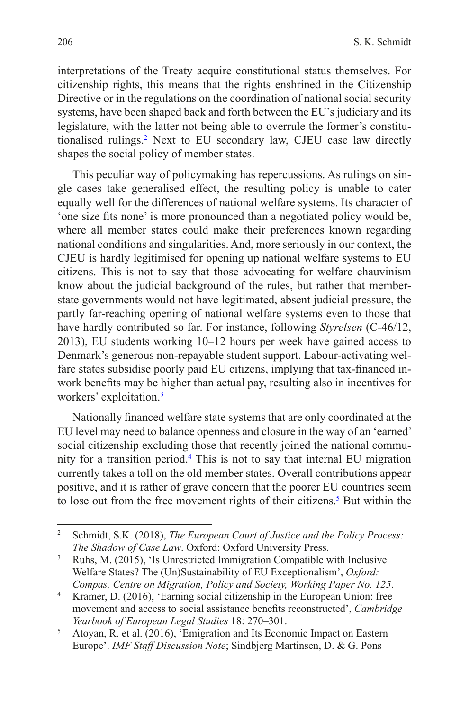interpretations of the Treaty acquire constitutional status themselves. For citizenship rights, this means that the rights enshrined in the Citizenship Directive or in the regulations on the coordination of national social security systems, have been shaped back and forth between the EU's judiciary and its legislature, with the latter not being able to overrule the former's constitutionalised rulings.[2](#page-1-0) Next to EU secondary law, CJEU case law directly shapes the social policy of member states.

This peculiar way of policymaking has repercussions. As rulings on single cases take generalised effect, the resulting policy is unable to cater equally well for the differences of national welfare systems. Its character of 'one size fits none' is more pronounced than a negotiated policy would be, where all member states could make their preferences known regarding national conditions and singularities. And, more seriously in our context, the CJEU is hardly legitimised for opening up national welfare systems to EU citizens. This is not to say that those advocating for welfare chauvinism know about the judicial background of the rules, but rather that memberstate governments would not have legitimated, absent judicial pressure, the partly far-reaching opening of national welfare systems even to those that have hardly contributed so far. For instance, following *Styrelsen* (C-46/12, 2013), EU students working 10–12 hours per week have gained access to Denmark's generous non-repayable student support. Labour-activating welfare states subsidise poorly paid EU citizens, implying that tax-financed inwork benefits may be higher than actual pay, resulting also in incentives for workers' exploitation[.3](#page-1-1)

Nationally financed welfare state systems that are only coordinated at the EU level may need to balance openness and closure in the way of an 'earned' social citizenship excluding those that recently joined the national community for a transition period[.4](#page-1-2) This is not to say that internal EU migration currently takes a toll on the old member states. Overall contributions appear positive, and it is rather of grave concern that the poorer EU countries seem to lose out from the free movement rights of their citizens.<sup>5</sup> But within the

<span id="page-1-0"></span><sup>2</sup> Schmidt, S.K. (2018), *The European Court of Justice and the Policy Process: The Shadow of Case Law*. Oxford: Oxford University Press.

<span id="page-1-1"></span><sup>3</sup> Ruhs, M. (2015), 'Is Unrestricted Immigration Compatible with Inclusive Welfare States? The (Un)Sustainability of EU Exceptionalism', *Oxford: Compas, Centre on Migration, Policy and Society, Working Paper No. 125*.

<span id="page-1-2"></span><sup>4</sup> Kramer, D. (2016), 'Earning social citizenship in the European Union: free movement and access to social assistance benefits reconstructed', *Cambridge Yearbook of European Legal Studies* 18: 270–301.

<span id="page-1-3"></span><sup>5</sup> Atoyan, R. et al. (2016), 'Emigration and Its Economic Impact on Eastern Europe'. *IMF Staff Discussion Note*; Sindbjerg Martinsen, D. & G. Pons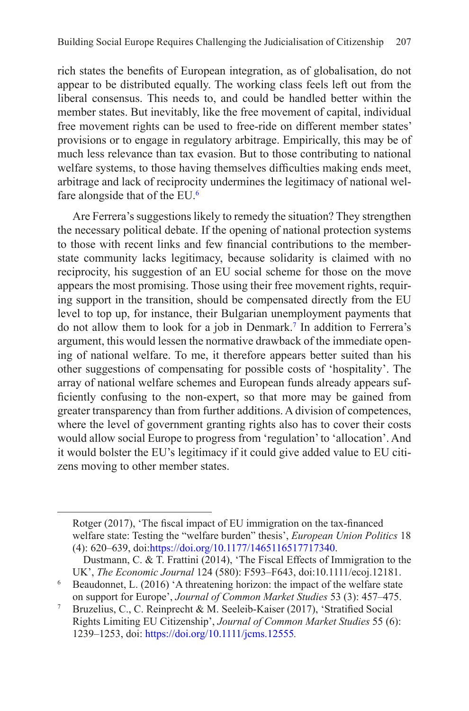rich states the benefits of European integration, as of globalisation, do not appear to be distributed equally. The working class feels left out from the liberal consensus. This needs to, and could be handled better within the member states. But inevitably, like the free movement of capital, individual free movement rights can be used to free-ride on different member states' provisions or to engage in regulatory arbitrage. Empirically, this may be of much less relevance than tax evasion. But to those contributing to national welfare systems, to those having themselves difficulties making ends meet, arbitrage and lack of reciprocity undermines the legitimacy of national welfare alongside that of the EU.<sup>6</sup>

Are Ferrera's suggestions likely to remedy the situation? They strengthen the necessary political debate. If the opening of national protection systems to those with recent links and few financial contributions to the memberstate community lacks legitimacy, because solidarity is claimed with no reciprocity, his suggestion of an EU social scheme for those on the move appears the most promising. Those using their free movement rights, requiring support in the transition, should be compensated directly from the EU level to top up, for instance, their Bulgarian unemployment payments that do not allow them to look for a job in Denmark.[7](#page-2-1) In addition to Ferrera's argument, this would lessen the normative drawback of the immediate opening of national welfare. To me, it therefore appears better suited than his other suggestions of compensating for possible costs of 'hospitality'. The array of national welfare schemes and European funds already appears sufficiently confusing to the non-expert, so that more may be gained from greater transparency than from further additions. A division of competences, where the level of government granting rights also has to cover their costs would allow social Europe to progress from 'regulation' to 'allocation'. And it would bolster the EU's legitimacy if it could give added value to EU citizens moving to other member states.

Rotger (2017), 'The fiscal impact of EU immigration on the tax-financed welfare state: Testing the "welfare burden" thesis', *European Union Politics* 18 (4): 620–639, doi:<https://doi.org/10.1177/1465116517717340>.

Dustmann, C. & T. Frattini (2014), 'The Fiscal Effects of Immigration to the UK', *The Economic Journal* 124 (580): F593–F643, doi:10.1111/ecoj.12181.

<span id="page-2-0"></span><sup>&</sup>lt;sup>6</sup> Beaudonnet, L. (2016) 'A threatening horizon: the impact of the welfare state on support for Europe', *Journal of Common Market Studies* 53 (3): 457–475.

<span id="page-2-1"></span><sup>7</sup> Bruzelius, C., C. Reinprecht & M. Seeleib-Kaiser (2017), 'Stratified Social Rights Limiting EU Citizenship', *Journal of Common Market Studies* 55 (6): 1239–1253, doi: <https://doi.org/10.1111/jcms.12555>*.*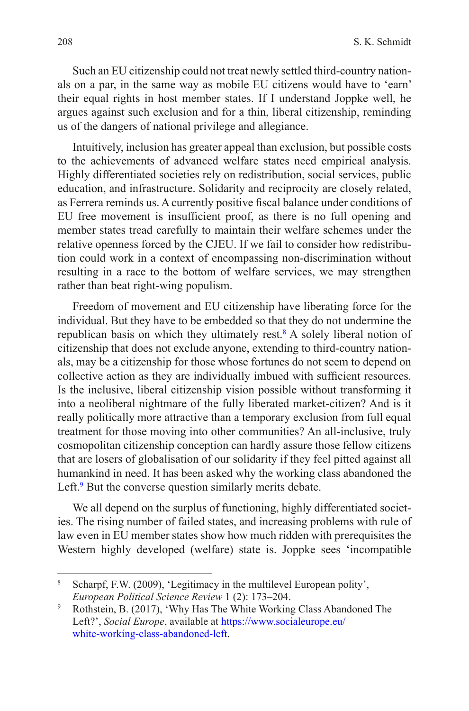Such an EU citizenship could not treat newly settled third-country nationals on a par, in the same way as mobile EU citizens would have to 'earn' their equal rights in host member states. If I understand Joppke well, he argues against such exclusion and for a thin, liberal citizenship, reminding us of the dangers of national privilege and allegiance.

Intuitively, inclusion has greater appeal than exclusion, but possible costs to the achievements of advanced welfare states need empirical analysis. Highly differentiated societies rely on redistribution, social services, public education, and infrastructure. Solidarity and reciprocity are closely related, as Ferrera reminds us. A currently positive fiscal balance under conditions of EU free movement is insufficient proof, as there is no full opening and member states tread carefully to maintain their welfare schemes under the relative openness forced by the CJEU. If we fail to consider how redistribution could work in a context of encompassing non-discrimination without resulting in a race to the bottom of welfare services, we may strengthen rather than beat right-wing populism.

Freedom of movement and EU citizenship have liberating force for the individual. But they have to be embedded so that they do not undermine the republican basis on which they ultimately rest.<sup>[8](#page-3-0)</sup> A solely liberal notion of citizenship that does not exclude anyone, extending to third-country nationals, may be a citizenship for those whose fortunes do not seem to depend on collective action as they are individually imbued with sufficient resources. Is the inclusive, liberal citizenship vision possible without transforming it into a neoliberal nightmare of the fully liberated market-citizen? And is it really politically more attractive than a temporary exclusion from full equal treatment for those moving into other communities? An all-inclusive, truly cosmopolitan citizenship conception can hardly assure those fellow citizens that are losers of globalisation of our solidarity if they feel pitted against all humankind in need. It has been asked why the working class abandoned the Left.<sup>[9](#page-3-1)</sup> But the converse question similarly merits debate.

We all depend on the surplus of functioning, highly differentiated societies. The rising number of failed states, and increasing problems with rule of law even in EU member states show how much ridden with prerequisites the Western highly developed (welfare) state is. Joppke sees 'incompatible

<span id="page-3-0"></span><sup>8</sup> Scharpf, F.W. (2009), 'Legitimacy in the multilevel European polity', *European Political Science Review* 1 (2): 173–204.

<span id="page-3-1"></span><sup>9</sup> Rothstein, B. (2017), 'Why Has The White Working Class Abandoned The Left?', *Social Europe*, available at [https://www.socialeurope.eu/](https://www.socialeurope.eu/white-working-class-abandoned-left) [white-working-class-abandoned-left.](https://www.socialeurope.eu/white-working-class-abandoned-left)